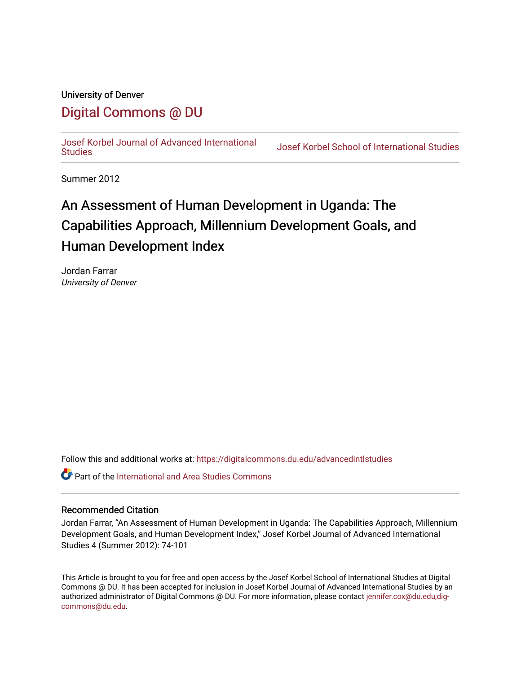## University of Denver

# [Digital Commons @ DU](https://digitalcommons.du.edu/)

[Josef Korbel Journal of Advanced International](https://digitalcommons.du.edu/advancedintlstudies) 

**Josef Korbel School of International Studies** 

Summer 2012

# An Assessment of Human Development in Uganda: The Capabilities Approach, Millennium Development Goals, and Human Development Index

Jordan Farrar University of Denver

Follow this and additional works at: [https://digitalcommons.du.edu/advancedintlstudies](https://digitalcommons.du.edu/advancedintlstudies?utm_source=digitalcommons.du.edu%2Fadvancedintlstudies%2F8&utm_medium=PDF&utm_campaign=PDFCoverPages)

**C** Part of the International and Area Studies Commons

## Recommended Citation

Jordan Farrar, "An Assessment of Human Development in Uganda: The Capabilities Approach, Millennium Development Goals, and Human Development Index," Josef Korbel Journal of Advanced International Studies 4 (Summer 2012): 74-101

This Article is brought to you for free and open access by the Josef Korbel School of International Studies at Digital Commons @ DU. It has been accepted for inclusion in Josef Korbel Journal of Advanced International Studies by an authorized administrator of Digital Commons @ DU. For more information, please contact [jennifer.cox@du.edu,dig](mailto:jennifer.cox@du.edu,dig-commons@du.edu)[commons@du.edu.](mailto:jennifer.cox@du.edu,dig-commons@du.edu)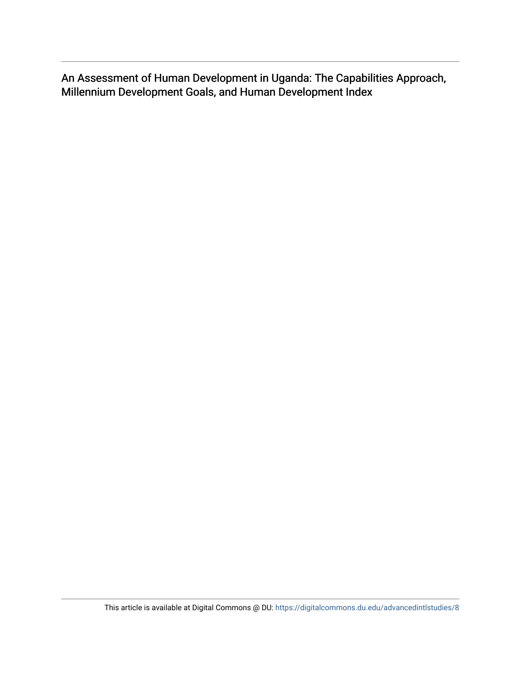An Assessment of Human Development in Uganda: The Capabilities Approach, Millennium Development Goals, and Human Development Index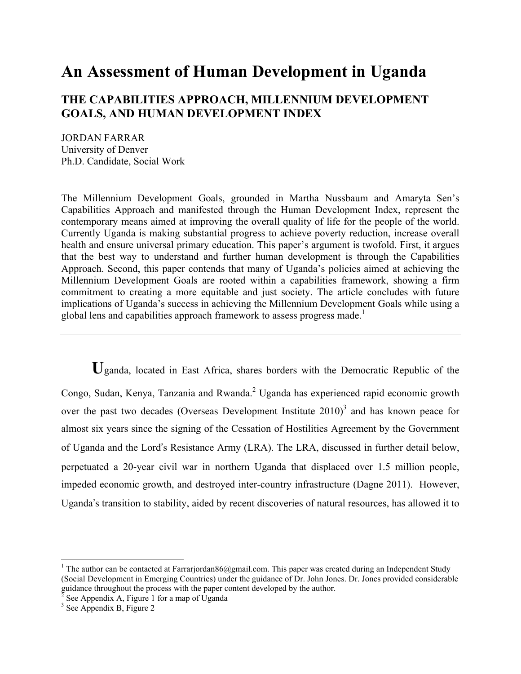# **An Assessment of Human Development in Uganda**

## **THE CAPABILITIES APPROACH, MILLENNIUM DEVELOPMENT GOALS, AND HUMAN DEVELOPMENT INDEX**

JORDAN FARRAR University of Denver Ph.D. Candidate, Social Work

The Millennium Development Goals, grounded in Martha Nussbaum and Amaryta Sen's Capabilities Approach and manifested through the Human Development Index, represent the contemporary means aimed at improving the overall quality of life for the people of the world. Currently Uganda is making substantial progress to achieve poverty reduction, increase overall health and ensure universal primary education. This paper's argument is twofold. First, it argues that the best way to understand and further human development is through the Capabilities Approach. Second, this paper contends that many of Uganda's policies aimed at achieving the Millennium Development Goals are rooted within a capabilities framework, showing a firm commitment to creating a more equitable and just society. The article concludes with future implications of Uganda's success in achieving the Millennium Development Goals while using a global lens and capabilities approach framework to assess progress made.<sup>1</sup>

**U**ganda, located in East Africa, shares borders with the Democratic Republic of the Congo, Sudan, Kenya, Tanzania and Rwanda.<sup>2</sup> Uganda has experienced rapid economic growth over the past two decades (Overseas Development Institute  $2010$ )<sup>3</sup> and has known peace for almost six years since the signing of the Cessation of Hostilities Agreement by the Government of Uganda and the Lord's Resistance Army (LRA). The LRA, discussed in further detail below, perpetuated a 20-year civil war in northern Uganda that displaced over 1.5 million people, impeded economic growth, and destroyed inter-country infrastructure (Dagne 2011). However, Uganda's transition to stability, aided by recent discoveries of natural resources, has allowed it to

 $\frac{1}{1}$ <sup>1</sup> The author can be contacted at Farrarjordan86@gmail.com. This paper was created during an Independent Study (Social Development in Emerging Countries) under the guidance of Dr. John Jones. Dr. Jones provided considerable guidance throughout the process with the paper content developed by the author.<br>
<sup>2</sup> See Appendix A, Figure 1 for a map of Uganda<br>
<sup>3</sup> See Appendix B, Figure 2

 $3$  See Appendix B, Figure 2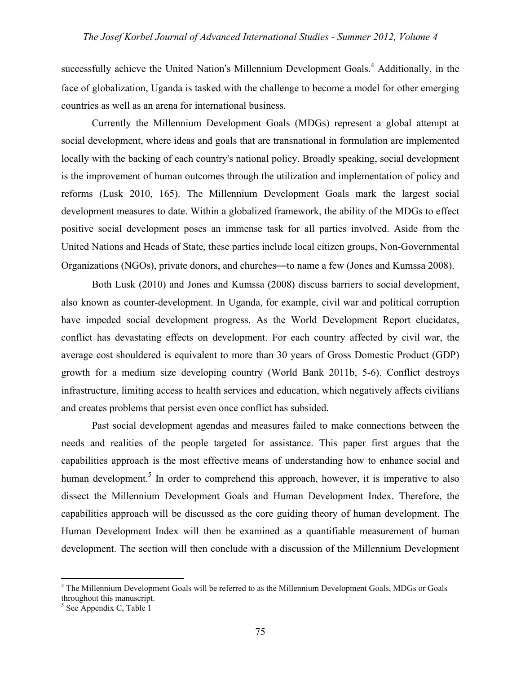successfully achieve the United Nation's Millennium Development Goals.<sup>4</sup> Additionally, in the face of globalization, Uganda is tasked with the challenge to become a model for other emerging countries as well as an arena for international business.

Currently the Millennium Development Goals (MDGs) represent a global attempt at social development, where ideas and goals that are transnational in formulation are implemented locally with the backing of each country's national policy. Broadly speaking, social development is the improvement of human outcomes through the utilization and implementation of policy and reforms (Lusk 2010, 165). The Millennium Development Goals mark the largest social development measures to date. Within a globalized framework, the ability of the MDGs to effect positive social development poses an immense task for all parties involved. Aside from the United Nations and Heads of State, these parties include local citizen groups, Non-Governmental Organizations (NGOs), private donors, and churches—to name a few (Jones and Kumssa 2008).

Both Lusk (2010) and Jones and Kumssa (2008) discuss barriers to social development, also known as counter-development. In Uganda, for example, civil war and political corruption have impeded social development progress. As the World Development Report elucidates, conflict has devastating effects on development. For each country affected by civil war, the average cost shouldered is equivalent to more than 30 years of Gross Domestic Product (GDP) growth for a medium size developing country (World Bank 2011b, 5-6). Conflict destroys infrastructure, limiting access to health services and education, which negatively affects civilians and creates problems that persist even once conflict has subsided.

Past social development agendas and measures failed to make connections between the needs and realities of the people targeted for assistance. This paper first argues that the capabilities approach is the most effective means of understanding how to enhance social and human development.<sup>5</sup> In order to comprehend this approach, however, it is imperative to also dissect the Millennium Development Goals and Human Development Index. Therefore, the capabilities approach will be discussed as the core guiding theory of human development. The Human Development Index will then be examined as a quantifiable measurement of human development. The section will then conclude with a discussion of the Millennium Development

 $\frac{1}{4}$  The Millennium Development Goals will be referred to as the Millennium Development Goals, MDGs or Goals throughout this manuscript.

<sup>5</sup> See Appendix C, Table 1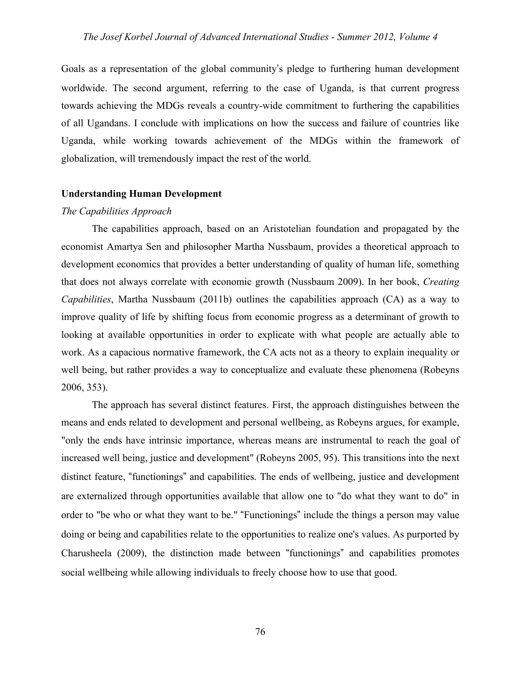Goals as a representation of the global community's pledge to furthering human development worldwide. The second argument, referring to the case of Uganda, is that current progress towards achieving the MDGs reveals a country-wide commitment to furthering the capabilities of all Ugandans. I conclude with implications on how the success and failure of countries like Uganda, while working towards achievement of the MDGs within the framework of globalization, will tremendously impact the rest of the world.

## **Understanding Human Development**

## *The Capabilities Approach*

The capabilities approach, based on an Aristotelian foundation and propagated by the economist Amartya Sen and philosopher Martha Nussbaum, provides a theoretical approach to development economics that provides a better understanding of quality of human life, something that does not always correlate with economic growth (Nussbaum 2009). In her book, *Creating Capabilities*, Martha Nussbaum (2011b) outlines the capabilities approach (CA) as a way to improve quality of life by shifting focus from economic progress as a determinant of growth to looking at available opportunities in order to explicate with what people are actually able to work. As a capacious normative framework, the CA acts not as a theory to explain inequality or well being, but rather provides a way to conceptualize and evaluate these phenomena (Robeyns 2006, 353).

The approach has several distinct features. First, the approach distinguishes between the means and ends related to development and personal wellbeing, as Robeyns argues, for example, "only the ends have intrinsic importance, whereas means are instrumental to reach the goal of increased well being, justice and development" (Robeyns 2005, 95). This transitions into the next distinct feature, "functionings" and capabilities. The ends of wellbeing, justice and development are externalized through opportunities available that allow one to "do what they want to do" in order to "be who or what they want to be." "Functionings" include the things a person may value doing or being and capabilities relate to the opportunities to realize one's values. As purported by Charusheela (2009), the distinction made between "functionings" and capabilities promotes social wellbeing while allowing individuals to freely choose how to use that good.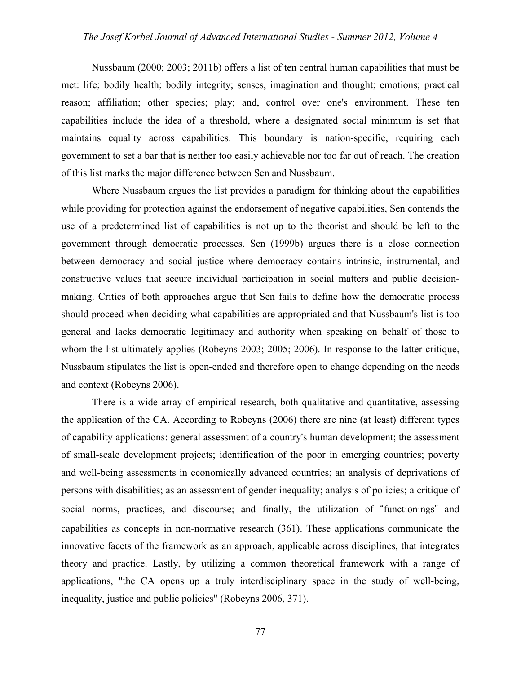Nussbaum (2000; 2003; 2011b) offers a list of ten central human capabilities that must be met: life; bodily health; bodily integrity; senses, imagination and thought; emotions; practical reason; affiliation; other species; play; and, control over one's environment. These ten capabilities include the idea of a threshold, where a designated social minimum is set that maintains equality across capabilities. This boundary is nation-specific, requiring each government to set a bar that is neither too easily achievable nor too far out of reach. The creation of this list marks the major difference between Sen and Nussbaum.

Where Nussbaum argues the list provides a paradigm for thinking about the capabilities while providing for protection against the endorsement of negative capabilities, Sen contends the use of a predetermined list of capabilities is not up to the theorist and should be left to the government through democratic processes. Sen (1999b) argues there is a close connection between democracy and social justice where democracy contains intrinsic, instrumental, and constructive values that secure individual participation in social matters and public decisionmaking. Critics of both approaches argue that Sen fails to define how the democratic process should proceed when deciding what capabilities are appropriated and that Nussbaum's list is too general and lacks democratic legitimacy and authority when speaking on behalf of those to whom the list ultimately applies (Robeyns 2003; 2005; 2006). In response to the latter critique, Nussbaum stipulates the list is open-ended and therefore open to change depending on the needs and context (Robeyns 2006).

There is a wide array of empirical research, both qualitative and quantitative, assessing the application of the CA. According to Robeyns (2006) there are nine (at least) different types of capability applications: general assessment of a country's human development; the assessment of small-scale development projects; identification of the poor in emerging countries; poverty and well-being assessments in economically advanced countries; an analysis of deprivations of persons with disabilities; as an assessment of gender inequality; analysis of policies; a critique of social norms, practices, and discourse; and finally, the utilization of "functionings" and capabilities as concepts in non-normative research (361). These applications communicate the innovative facets of the framework as an approach, applicable across disciplines, that integrates theory and practice. Lastly, by utilizing a common theoretical framework with a range of applications, "the CA opens up a truly interdisciplinary space in the study of well-being, inequality, justice and public policies" (Robeyns 2006, 371).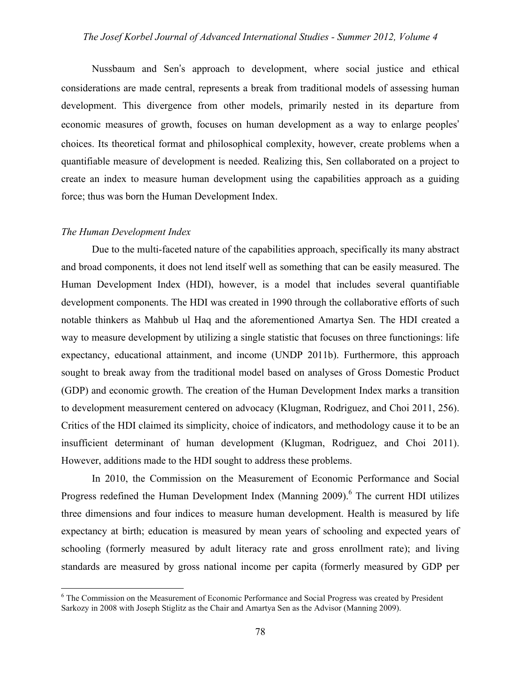Nussbaum and Sen's approach to development, where social justice and ethical considerations are made central, represents a break from traditional models of assessing human development. This divergence from other models, primarily nested in its departure from economic measures of growth, focuses on human development as a way to enlarge peoples' choices. Its theoretical format and philosophical complexity, however, create problems when a quantifiable measure of development is needed. Realizing this, Sen collaborated on a project to create an index to measure human development using the capabilities approach as a guiding force; thus was born the Human Development Index.

#### *The Human Development Index*

Due to the multi-faceted nature of the capabilities approach, specifically its many abstract and broad components, it does not lend itself well as something that can be easily measured. The Human Development Index (HDI), however, is a model that includes several quantifiable development components. The HDI was created in 1990 through the collaborative efforts of such notable thinkers as Mahbub ul Haq and the aforementioned Amartya Sen. The HDI created a way to measure development by utilizing a single statistic that focuses on three functionings: life expectancy, educational attainment, and income (UNDP 2011b). Furthermore, this approach sought to break away from the traditional model based on analyses of Gross Domestic Product (GDP) and economic growth. The creation of the Human Development Index marks a transition to development measurement centered on advocacy (Klugman, Rodriguez, and Choi 2011, 256). Critics of the HDI claimed its simplicity, choice of indicators, and methodology cause it to be an insufficient determinant of human development (Klugman, Rodriguez, and Choi 2011). However, additions made to the HDI sought to address these problems.

In 2010, the Commission on the Measurement of Economic Performance and Social Progress redefined the Human Development Index (Manning 2009).<sup>6</sup> The current HDI utilizes three dimensions and four indices to measure human development. Health is measured by life expectancy at birth; education is measured by mean years of schooling and expected years of schooling (formerly measured by adult literacy rate and gross enrollment rate); and living standards are measured by gross national income per capita (formerly measured by GDP per

 $\frac{1}{6}$ <sup>6</sup> The Commission on the Measurement of Economic Performance and Social Progress was created by President Sarkozy in 2008 with Joseph Stiglitz as the Chair and Amartya Sen as the Advisor (Manning 2009).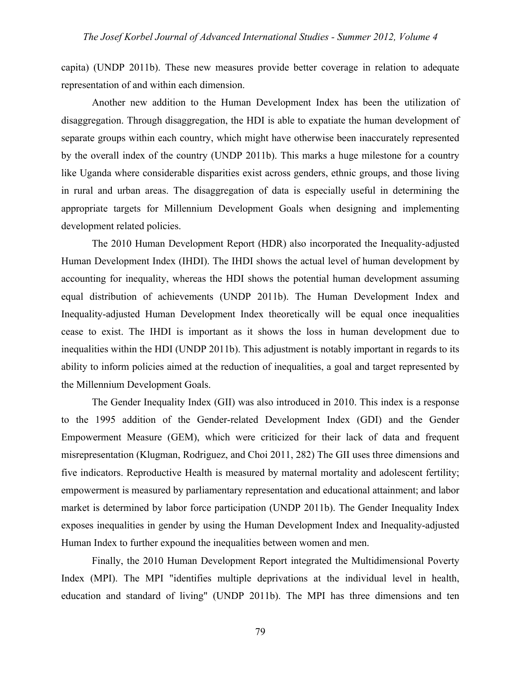capita) (UNDP 2011b). These new measures provide better coverage in relation to adequate representation of and within each dimension.

Another new addition to the Human Development Index has been the utilization of disaggregation. Through disaggregation, the HDI is able to expatiate the human development of separate groups within each country, which might have otherwise been inaccurately represented by the overall index of the country (UNDP 2011b). This marks a huge milestone for a country like Uganda where considerable disparities exist across genders, ethnic groups, and those living in rural and urban areas. The disaggregation of data is especially useful in determining the appropriate targets for Millennium Development Goals when designing and implementing development related policies.

The 2010 Human Development Report (HDR) also incorporated the Inequality-adjusted Human Development Index (IHDI). The IHDI shows the actual level of human development by accounting for inequality, whereas the HDI shows the potential human development assuming equal distribution of achievements (UNDP 2011b). The Human Development Index and Inequality-adjusted Human Development Index theoretically will be equal once inequalities cease to exist. The IHDI is important as it shows the loss in human development due to inequalities within the HDI (UNDP 2011b). This adjustment is notably important in regards to its ability to inform policies aimed at the reduction of inequalities, a goal and target represented by the Millennium Development Goals.

The Gender Inequality Index (GII) was also introduced in 2010. This index is a response to the 1995 addition of the Gender-related Development Index (GDI) and the Gender Empowerment Measure (GEM), which were criticized for their lack of data and frequent misrepresentation (Klugman, Rodriguez, and Choi 2011, 282) The GII uses three dimensions and five indicators. Reproductive Health is measured by maternal mortality and adolescent fertility; empowerment is measured by parliamentary representation and educational attainment; and labor market is determined by labor force participation (UNDP 2011b). The Gender Inequality Index exposes inequalities in gender by using the Human Development Index and Inequality-adjusted Human Index to further expound the inequalities between women and men.

Finally, the 2010 Human Development Report integrated the Multidimensional Poverty Index (MPI). The MPI "identifies multiple deprivations at the individual level in health, education and standard of living" (UNDP 2011b). The MPI has three dimensions and ten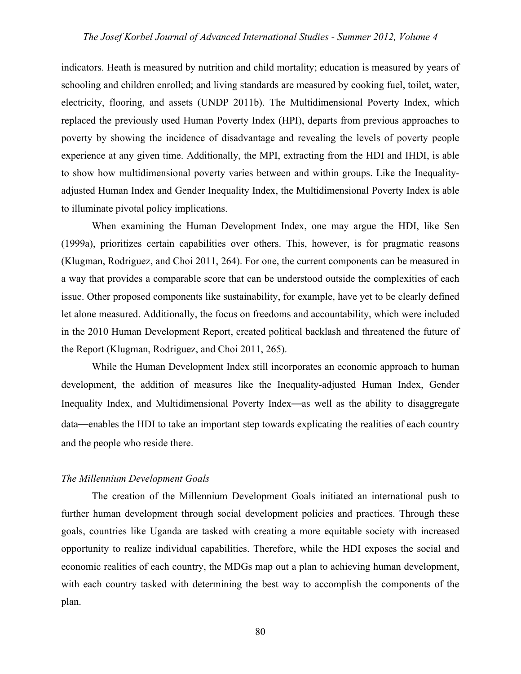indicators. Heath is measured by nutrition and child mortality; education is measured by years of schooling and children enrolled; and living standards are measured by cooking fuel, toilet, water, electricity, flooring, and assets (UNDP 2011b). The Multidimensional Poverty Index, which replaced the previously used Human Poverty Index (HPI), departs from previous approaches to poverty by showing the incidence of disadvantage and revealing the levels of poverty people experience at any given time. Additionally, the MPI, extracting from the HDI and IHDI, is able to show how multidimensional poverty varies between and within groups. Like the Inequalityadjusted Human Index and Gender Inequality Index, the Multidimensional Poverty Index is able to illuminate pivotal policy implications.

When examining the Human Development Index, one may argue the HDI, like Sen (1999a), prioritizes certain capabilities over others. This, however, is for pragmatic reasons (Klugman, Rodriguez, and Choi 2011, 264). For one, the current components can be measured in a way that provides a comparable score that can be understood outside the complexities of each issue. Other proposed components like sustainability, for example, have yet to be clearly defined let alone measured. Additionally, the focus on freedoms and accountability, which were included in the 2010 Human Development Report, created political backlash and threatened the future of the Report (Klugman, Rodriguez, and Choi 2011, 265).

While the Human Development Index still incorporates an economic approach to human development, the addition of measures like the Inequality-adjusted Human Index, Gender Inequality Index, and Multidimensional Poverty Index—as well as the ability to disaggregate data—enables the HDI to take an important step towards explicating the realities of each country and the people who reside there.

#### *The Millennium Development Goals*

The creation of the Millennium Development Goals initiated an international push to further human development through social development policies and practices. Through these goals, countries like Uganda are tasked with creating a more equitable society with increased opportunity to realize individual capabilities. Therefore, while the HDI exposes the social and economic realities of each country, the MDGs map out a plan to achieving human development, with each country tasked with determining the best way to accomplish the components of the plan.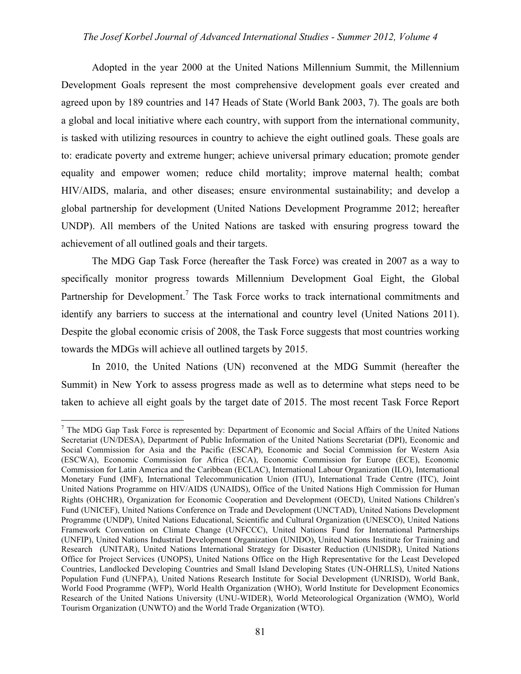Adopted in the year 2000 at the United Nations Millennium Summit, the Millennium Development Goals represent the most comprehensive development goals ever created and agreed upon by 189 countries and 147 Heads of State (World Bank 2003, 7). The goals are both a global and local initiative where each country, with support from the international community, is tasked with utilizing resources in country to achieve the eight outlined goals. These goals are to: eradicate poverty and extreme hunger; achieve universal primary education; promote gender equality and empower women; reduce child mortality; improve maternal health; combat HIV/AIDS, malaria, and other diseases; ensure environmental sustainability; and develop a global partnership for development (United Nations Development Programme 2012; hereafter UNDP). All members of the United Nations are tasked with ensuring progress toward the achievement of all outlined goals and their targets.

The MDG Gap Task Force (hereafter the Task Force) was created in 2007 as a way to specifically monitor progress towards Millennium Development Goal Eight, the Global Partnership for Development.<sup>7</sup> The Task Force works to track international commitments and identify any barriers to success at the international and country level (United Nations 2011). Despite the global economic crisis of 2008, the Task Force suggests that most countries working towards the MDGs will achieve all outlined targets by 2015.

In 2010, the United Nations (UN) reconvened at the MDG Summit (hereafter the Summit) in New York to assess progress made as well as to determine what steps need to be taken to achieve all eight goals by the target date of 2015. The most recent Task Force Report

<sup>-&</sup>lt;br>7  $<sup>7</sup>$  The MDG Gap Task Force is represented by: Department of Economic and Social Affairs of the United Nations</sup> Secretariat (UN/DESA), Department of Public Information of the United Nations Secretariat (DPI), Economic and Social Commission for Asia and the Pacific (ESCAP), Economic and Social Commission for Western Asia (ESCWA), Economic Commission for Africa (ECA), Economic Commission for Europe (ECE), Economic Commission for Latin America and the Caribbean (ECLAC), International Labour Organization (ILO), International Monetary Fund (IMF), International Telecommunication Union (ITU), International Trade Centre (ITC), Joint United Nations Programme on HIV/AIDS (UNAIDS), Office of the United Nations High Commission for Human Rights (OHCHR), Organization for Economic Cooperation and Development (OECD), United Nations Children's Fund (UNICEF), United Nations Conference on Trade and Development (UNCTAD), United Nations Development Programme (UNDP), United Nations Educational, Scientific and Cultural Organization (UNESCO), United Nations Framework Convention on Climate Change (UNFCCC), United Nations Fund for International Partnerships (UNFIP), United Nations Industrial Development Organization (UNIDO), United Nations Institute for Training and Research (UNITAR), United Nations International Strategy for Disaster Reduction (UNISDR), United Nations Office for Project Services (UNOPS), United Nations Office on the High Representative for the Least Developed Countries, Landlocked Developing Countries and Small Island Developing States (UN-OHRLLS), United Nations Population Fund (UNFPA), United Nations Research Institute for Social Development (UNRISD), World Bank, World Food Programme (WFP), World Health Organization (WHO), World Institute for Development Economics Research of the United Nations University (UNU-WIDER), World Meteorological Organization (WMO), World Tourism Organization (UNWTO) and the World Trade Organization (WTO).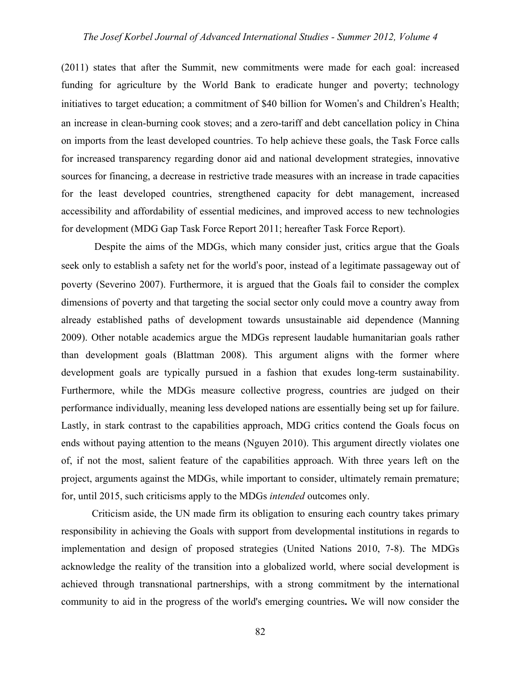(2011) states that after the Summit, new commitments were made for each goal: increased funding for agriculture by the World Bank to eradicate hunger and poverty; technology initiatives to target education; a commitment of \$40 billion for Women's and Children's Health; an increase in clean-burning cook stoves; and a zero-tariff and debt cancellation policy in China on imports from the least developed countries. To help achieve these goals, the Task Force calls for increased transparency regarding donor aid and national development strategies, innovative sources for financing, a decrease in restrictive trade measures with an increase in trade capacities for the least developed countries, strengthened capacity for debt management, increased accessibility and affordability of essential medicines, and improved access to new technologies for development (MDG Gap Task Force Report 2011; hereafter Task Force Report).

 Despite the aims of the MDGs, which many consider just, critics argue that the Goals seek only to establish a safety net for the world's poor, instead of a legitimate passageway out of poverty (Severino 2007). Furthermore, it is argued that the Goals fail to consider the complex dimensions of poverty and that targeting the social sector only could move a country away from already established paths of development towards unsustainable aid dependence (Manning 2009). Other notable academics argue the MDGs represent laudable humanitarian goals rather than development goals (Blattman 2008). This argument aligns with the former where development goals are typically pursued in a fashion that exudes long-term sustainability. Furthermore, while the MDGs measure collective progress, countries are judged on their performance individually, meaning less developed nations are essentially being set up for failure. Lastly, in stark contrast to the capabilities approach, MDG critics contend the Goals focus on ends without paying attention to the means (Nguyen 2010). This argument directly violates one of, if not the most, salient feature of the capabilities approach. With three years left on the project, arguments against the MDGs, while important to consider, ultimately remain premature; for, until 2015, such criticisms apply to the MDGs *intended* outcomes only.

Criticism aside, the UN made firm its obligation to ensuring each country takes primary responsibility in achieving the Goals with support from developmental institutions in regards to implementation and design of proposed strategies (United Nations 2010, 7-8). The MDGs acknowledge the reality of the transition into a globalized world, where social development is achieved through transnational partnerships, with a strong commitment by the international community to aid in the progress of the world's emerging countries**.** We will now consider the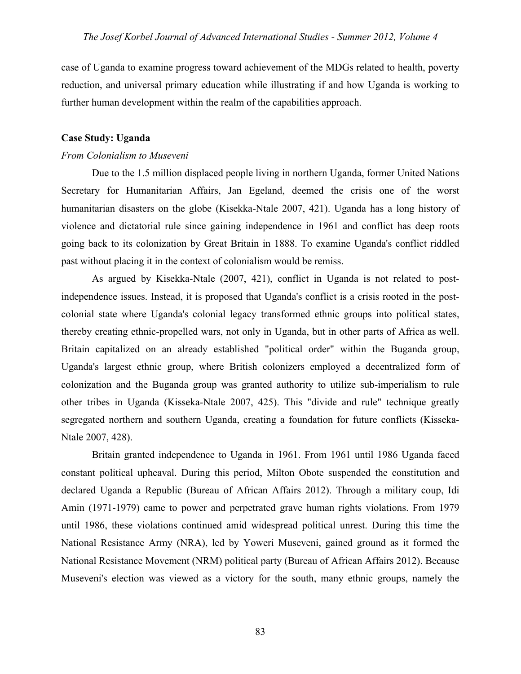case of Uganda to examine progress toward achievement of the MDGs related to health, poverty reduction, and universal primary education while illustrating if and how Uganda is working to further human development within the realm of the capabilities approach.

## **Case Study: Uganda**

## *From Colonialism to Museveni*

Due to the 1.5 million displaced people living in northern Uganda, former United Nations Secretary for Humanitarian Affairs, Jan Egeland, deemed the crisis one of the worst humanitarian disasters on the globe (Kisekka-Ntale 2007, 421). Uganda has a long history of violence and dictatorial rule since gaining independence in 1961 and conflict has deep roots going back to its colonization by Great Britain in 1888. To examine Uganda's conflict riddled past without placing it in the context of colonialism would be remiss.

As argued by Kisekka-Ntale (2007, 421), conflict in Uganda is not related to postindependence issues. Instead, it is proposed that Uganda's conflict is a crisis rooted in the postcolonial state where Uganda's colonial legacy transformed ethnic groups into political states, thereby creating ethnic-propelled wars, not only in Uganda, but in other parts of Africa as well. Britain capitalized on an already established "political order" within the Buganda group, Uganda's largest ethnic group, where British colonizers employed a decentralized form of colonization and the Buganda group was granted authority to utilize sub-imperialism to rule other tribes in Uganda (Kisseka-Ntale 2007, 425). This "divide and rule" technique greatly segregated northern and southern Uganda, creating a foundation for future conflicts (Kisseka-Ntale 2007, 428).

Britain granted independence to Uganda in 1961. From 1961 until 1986 Uganda faced constant political upheaval. During this period, Milton Obote suspended the constitution and declared Uganda a Republic (Bureau of African Affairs 2012). Through a military coup, Idi Amin (1971-1979) came to power and perpetrated grave human rights violations. From 1979 until 1986, these violations continued amid widespread political unrest. During this time the National Resistance Army (NRA), led by Yoweri Museveni, gained ground as it formed the National Resistance Movement (NRM) political party (Bureau of African Affairs 2012). Because Museveni's election was viewed as a victory for the south, many ethnic groups, namely the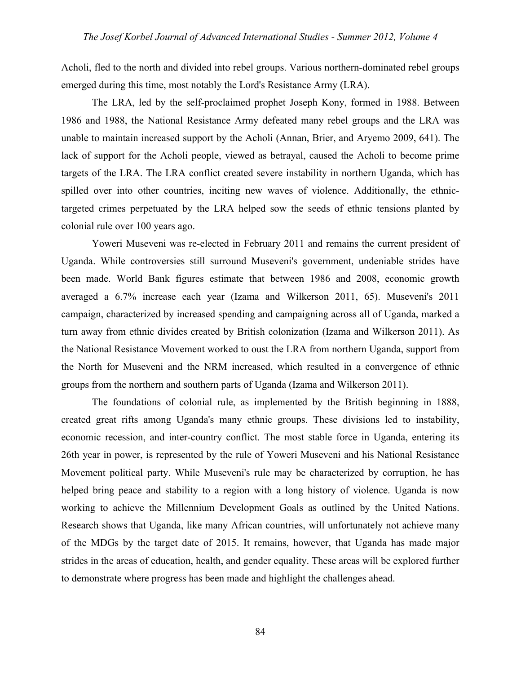Acholi, fled to the north and divided into rebel groups. Various northern-dominated rebel groups emerged during this time, most notably the Lord's Resistance Army (LRA).

The LRA, led by the self-proclaimed prophet Joseph Kony, formed in 1988. Between 1986 and 1988, the National Resistance Army defeated many rebel groups and the LRA was unable to maintain increased support by the Acholi (Annan, Brier, and Aryemo 2009, 641). The lack of support for the Acholi people, viewed as betrayal, caused the Acholi to become prime targets of the LRA. The LRA conflict created severe instability in northern Uganda, which has spilled over into other countries, inciting new waves of violence. Additionally, the ethnictargeted crimes perpetuated by the LRA helped sow the seeds of ethnic tensions planted by colonial rule over 100 years ago.

Yoweri Museveni was re-elected in February 2011 and remains the current president of Uganda. While controversies still surround Museveni's government, undeniable strides have been made. World Bank figures estimate that between 1986 and 2008, economic growth averaged a 6.7% increase each year (Izama and Wilkerson 2011, 65). Museveni's 2011 campaign, characterized by increased spending and campaigning across all of Uganda, marked a turn away from ethnic divides created by British colonization (Izama and Wilkerson 2011). As the National Resistance Movement worked to oust the LRA from northern Uganda, support from the North for Museveni and the NRM increased, which resulted in a convergence of ethnic groups from the northern and southern parts of Uganda (Izama and Wilkerson 2011).

The foundations of colonial rule, as implemented by the British beginning in 1888, created great rifts among Uganda's many ethnic groups. These divisions led to instability, economic recession, and inter-country conflict. The most stable force in Uganda, entering its 26th year in power, is represented by the rule of Yoweri Museveni and his National Resistance Movement political party. While Museveni's rule may be characterized by corruption, he has helped bring peace and stability to a region with a long history of violence. Uganda is now working to achieve the Millennium Development Goals as outlined by the United Nations. Research shows that Uganda, like many African countries, will unfortunately not achieve many of the MDGs by the target date of 2015. It remains, however, that Uganda has made major strides in the areas of education, health, and gender equality. These areas will be explored further to demonstrate where progress has been made and highlight the challenges ahead.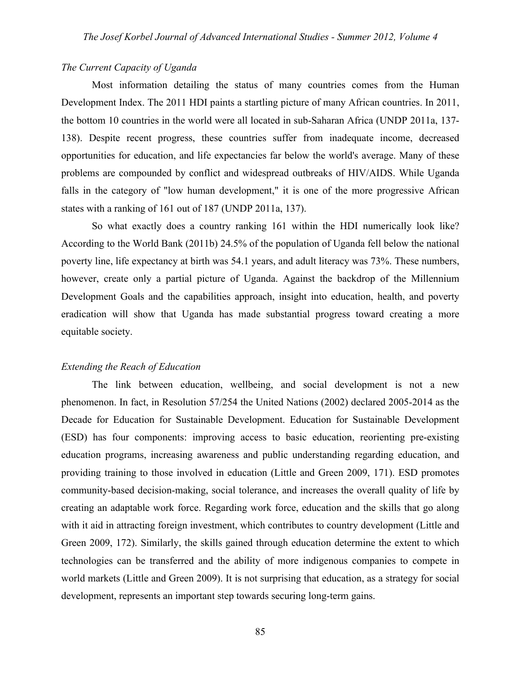## *The Current Capacity of Uganda*

Most information detailing the status of many countries comes from the Human Development Index. The 2011 HDI paints a startling picture of many African countries. In 2011, the bottom 10 countries in the world were all located in sub-Saharan Africa (UNDP 2011a, 137- 138). Despite recent progress, these countries suffer from inadequate income, decreased opportunities for education, and life expectancies far below the world's average. Many of these problems are compounded by conflict and widespread outbreaks of HIV/AIDS. While Uganda falls in the category of "low human development," it is one of the more progressive African states with a ranking of 161 out of 187 (UNDP 2011a, 137).

So what exactly does a country ranking 161 within the HDI numerically look like? According to the World Bank (2011b) 24.5% of the population of Uganda fell below the national poverty line, life expectancy at birth was 54.1 years, and adult literacy was 73%. These numbers, however, create only a partial picture of Uganda. Against the backdrop of the Millennium Development Goals and the capabilities approach, insight into education, health, and poverty eradication will show that Uganda has made substantial progress toward creating a more equitable society.

## *Extending the Reach of Education*

The link between education, wellbeing, and social development is not a new phenomenon. In fact, in Resolution 57/254 the United Nations (2002) declared 2005-2014 as the Decade for Education for Sustainable Development. Education for Sustainable Development (ESD) has four components: improving access to basic education, reorienting pre-existing education programs, increasing awareness and public understanding regarding education, and providing training to those involved in education (Little and Green 2009, 171). ESD promotes community-based decision-making, social tolerance, and increases the overall quality of life by creating an adaptable work force. Regarding work force, education and the skills that go along with it aid in attracting foreign investment, which contributes to country development (Little and Green 2009, 172). Similarly, the skills gained through education determine the extent to which technologies can be transferred and the ability of more indigenous companies to compete in world markets (Little and Green 2009). It is not surprising that education, as a strategy for social development, represents an important step towards securing long-term gains.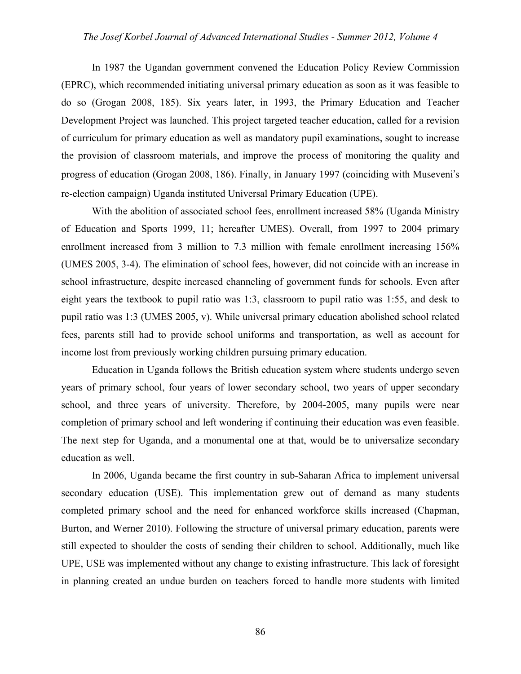In 1987 the Ugandan government convened the Education Policy Review Commission (EPRC), which recommended initiating universal primary education as soon as it was feasible to do so (Grogan 2008, 185). Six years later, in 1993, the Primary Education and Teacher Development Project was launched. This project targeted teacher education, called for a revision of curriculum for primary education as well as mandatory pupil examinations, sought to increase the provision of classroom materials, and improve the process of monitoring the quality and progress of education (Grogan 2008, 186). Finally, in January 1997 (coinciding with Museveni's re-election campaign) Uganda instituted Universal Primary Education (UPE).

With the abolition of associated school fees, enrollment increased 58% (Uganda Ministry of Education and Sports 1999, 11; hereafter UMES). Overall, from 1997 to 2004 primary enrollment increased from 3 million to 7.3 million with female enrollment increasing 156% (UMES 2005, 3-4). The elimination of school fees, however, did not coincide with an increase in school infrastructure, despite increased channeling of government funds for schools. Even after eight years the textbook to pupil ratio was 1:3, classroom to pupil ratio was 1:55, and desk to pupil ratio was 1:3 (UMES 2005, v). While universal primary education abolished school related fees, parents still had to provide school uniforms and transportation, as well as account for income lost from previously working children pursuing primary education.

Education in Uganda follows the British education system where students undergo seven years of primary school, four years of lower secondary school, two years of upper secondary school, and three years of university. Therefore, by 2004-2005, many pupils were near completion of primary school and left wondering if continuing their education was even feasible. The next step for Uganda, and a monumental one at that, would be to universalize secondary education as well.

In 2006, Uganda became the first country in sub-Saharan Africa to implement universal secondary education (USE). This implementation grew out of demand as many students completed primary school and the need for enhanced workforce skills increased (Chapman, Burton, and Werner 2010). Following the structure of universal primary education, parents were still expected to shoulder the costs of sending their children to school. Additionally, much like UPE, USE was implemented without any change to existing infrastructure. This lack of foresight in planning created an undue burden on teachers forced to handle more students with limited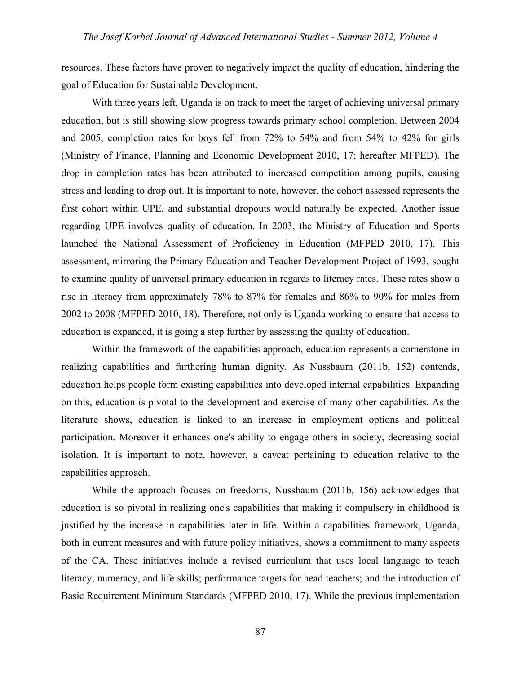resources. These factors have proven to negatively impact the quality of education, hindering the goal of Education for Sustainable Development.

With three years left, Uganda is on track to meet the target of achieving universal primary education, but is still showing slow progress towards primary school completion. Between 2004 and 2005, completion rates for boys fell from 72% to 54% and from 54% to 42% for girls (Ministry of Finance, Planning and Economic Development 2010, 17; hereafter MFPED). The drop in completion rates has been attributed to increased competition among pupils, causing stress and leading to drop out. It is important to note, however, the cohort assessed represents the first cohort within UPE, and substantial dropouts would naturally be expected. Another issue regarding UPE involves quality of education. In 2003, the Ministry of Education and Sports launched the National Assessment of Proficiency in Education (MFPED 2010, 17). This assessment, mirroring the Primary Education and Teacher Development Project of 1993, sought to examine quality of universal primary education in regards to literacy rates. These rates show a rise in literacy from approximately 78% to 87% for females and 86% to 90% for males from 2002 to 2008 (MFPED 2010, 18). Therefore, not only is Uganda working to ensure that access to education is expanded, it is going a step further by assessing the quality of education.

Within the framework of the capabilities approach, education represents a cornerstone in realizing capabilities and furthering human dignity. As Nussbaum (2011b, 152) contends, education helps people form existing capabilities into developed internal capabilities. Expanding on this, education is pivotal to the development and exercise of many other capabilities. As the literature shows, education is linked to an increase in employment options and political participation. Moreover it enhances one's ability to engage others in society, decreasing social isolation. It is important to note, however, a caveat pertaining to education relative to the capabilities approach.

While the approach focuses on freedoms, Nussbaum (2011b, 156) acknowledges that education is so pivotal in realizing one's capabilities that making it compulsory in childhood is justified by the increase in capabilities later in life. Within a capabilities framework, Uganda, both in current measures and with future policy initiatives, shows a commitment to many aspects of the CA. These initiatives include a revised curriculum that uses local language to teach literacy, numeracy, and life skills; performance targets for head teachers; and the introduction of Basic Requirement Minimum Standards (MFPED 2010, 17). While the previous implementation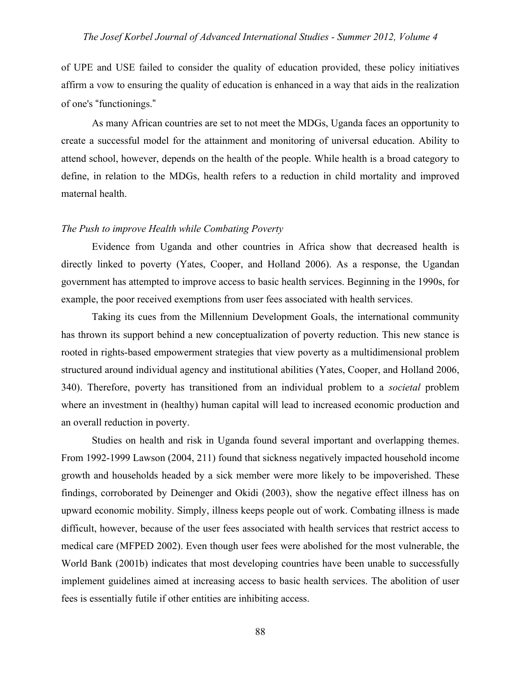of UPE and USE failed to consider the quality of education provided, these policy initiatives affirm a vow to ensuring the quality of education is enhanced in a way that aids in the realization of one's "functionings."

As many African countries are set to not meet the MDGs, Uganda faces an opportunity to create a successful model for the attainment and monitoring of universal education. Ability to attend school, however, depends on the health of the people. While health is a broad category to define, in relation to the MDGs, health refers to a reduction in child mortality and improved maternal health.

## *The Push to improve Health while Combating Poverty*

Evidence from Uganda and other countries in Africa show that decreased health is directly linked to poverty (Yates, Cooper, and Holland 2006). As a response, the Ugandan government has attempted to improve access to basic health services. Beginning in the 1990s, for example, the poor received exemptions from user fees associated with health services.

Taking its cues from the Millennium Development Goals, the international community has thrown its support behind a new conceptualization of poverty reduction. This new stance is rooted in rights-based empowerment strategies that view poverty as a multidimensional problem structured around individual agency and institutional abilities (Yates, Cooper, and Holland 2006, 340). Therefore, poverty has transitioned from an individual problem to a *societal* problem where an investment in (healthy) human capital will lead to increased economic production and an overall reduction in poverty.

Studies on health and risk in Uganda found several important and overlapping themes. From 1992-1999 Lawson (2004, 211) found that sickness negatively impacted household income growth and households headed by a sick member were more likely to be impoverished. These findings, corroborated by Deinenger and Okidi (2003), show the negative effect illness has on upward economic mobility. Simply, illness keeps people out of work. Combating illness is made difficult, however, because of the user fees associated with health services that restrict access to medical care (MFPED 2002). Even though user fees were abolished for the most vulnerable, the World Bank (2001b) indicates that most developing countries have been unable to successfully implement guidelines aimed at increasing access to basic health services. The abolition of user fees is essentially futile if other entities are inhibiting access.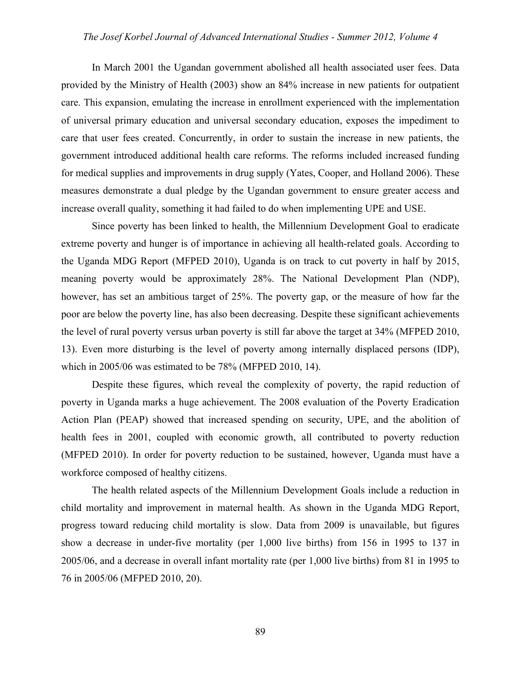In March 2001 the Ugandan government abolished all health associated user fees. Data provided by the Ministry of Health (2003) show an 84% increase in new patients for outpatient care. This expansion, emulating the increase in enrollment experienced with the implementation of universal primary education and universal secondary education, exposes the impediment to care that user fees created. Concurrently, in order to sustain the increase in new patients, the government introduced additional health care reforms. The reforms included increased funding for medical supplies and improvements in drug supply (Yates, Cooper, and Holland 2006). These measures demonstrate a dual pledge by the Ugandan government to ensure greater access and increase overall quality, something it had failed to do when implementing UPE and USE.

Since poverty has been linked to health, the Millennium Development Goal to eradicate extreme poverty and hunger is of importance in achieving all health-related goals. According to the Uganda MDG Report (MFPED 2010), Uganda is on track to cut poverty in half by 2015, meaning poverty would be approximately 28%. The National Development Plan (NDP), however, has set an ambitious target of 25%. The poverty gap, or the measure of how far the poor are below the poverty line, has also been decreasing. Despite these significant achievements the level of rural poverty versus urban poverty is still far above the target at 34% (MFPED 2010, 13). Even more disturbing is the level of poverty among internally displaced persons (IDP), which in 2005/06 was estimated to be 78% (MFPED 2010, 14).

Despite these figures, which reveal the complexity of poverty, the rapid reduction of poverty in Uganda marks a huge achievement. The 2008 evaluation of the Poverty Eradication Action Plan (PEAP) showed that increased spending on security, UPE, and the abolition of health fees in 2001, coupled with economic growth, all contributed to poverty reduction (MFPED 2010). In order for poverty reduction to be sustained, however, Uganda must have a workforce composed of healthy citizens.

The health related aspects of the Millennium Development Goals include a reduction in child mortality and improvement in maternal health. As shown in the Uganda MDG Report, progress toward reducing child mortality is slow. Data from 2009 is unavailable, but figures show a decrease in under-five mortality (per 1,000 live births) from 156 in 1995 to 137 in 2005/06, and a decrease in overall infant mortality rate (per 1,000 live births) from 81 in 1995 to 76 in 2005/06 (MFPED 2010, 20).

89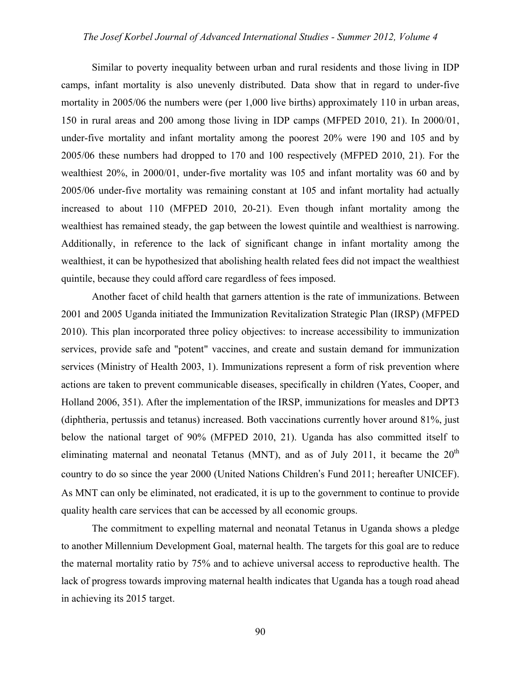Similar to poverty inequality between urban and rural residents and those living in IDP camps, infant mortality is also unevenly distributed. Data show that in regard to under-five mortality in 2005/06 the numbers were (per 1,000 live births) approximately 110 in urban areas, 150 in rural areas and 200 among those living in IDP camps (MFPED 2010, 21). In 2000/01, under-five mortality and infant mortality among the poorest 20% were 190 and 105 and by 2005/06 these numbers had dropped to 170 and 100 respectively (MFPED 2010, 21). For the wealthiest 20%, in 2000/01, under-five mortality was 105 and infant mortality was 60 and by 2005/06 under-five mortality was remaining constant at 105 and infant mortality had actually increased to about 110 (MFPED 2010, 20-21). Even though infant mortality among the wealthiest has remained steady, the gap between the lowest quintile and wealthiest is narrowing. Additionally, in reference to the lack of significant change in infant mortality among the wealthiest, it can be hypothesized that abolishing health related fees did not impact the wealthiest quintile, because they could afford care regardless of fees imposed.

Another facet of child health that garners attention is the rate of immunizations. Between 2001 and 2005 Uganda initiated the Immunization Revitalization Strategic Plan (IRSP) (MFPED 2010). This plan incorporated three policy objectives: to increase accessibility to immunization services, provide safe and "potent" vaccines, and create and sustain demand for immunization services (Ministry of Health 2003, 1). Immunizations represent a form of risk prevention where actions are taken to prevent communicable diseases, specifically in children (Yates, Cooper, and Holland 2006, 351). After the implementation of the IRSP, immunizations for measles and DPT3 (diphtheria, pertussis and tetanus) increased. Both vaccinations currently hover around 81%, just below the national target of 90% (MFPED 2010, 21). Uganda has also committed itself to eliminating maternal and neonatal Tetanus (MNT), and as of July 2011, it became the  $20<sup>th</sup>$ country to do so since the year 2000 (United Nations Children's Fund 2011; hereafter UNICEF). As MNT can only be eliminated, not eradicated, it is up to the government to continue to provide quality health care services that can be accessed by all economic groups.

The commitment to expelling maternal and neonatal Tetanus in Uganda shows a pledge to another Millennium Development Goal, maternal health. The targets for this goal are to reduce the maternal mortality ratio by 75% and to achieve universal access to reproductive health. The lack of progress towards improving maternal health indicates that Uganda has a tough road ahead in achieving its 2015 target.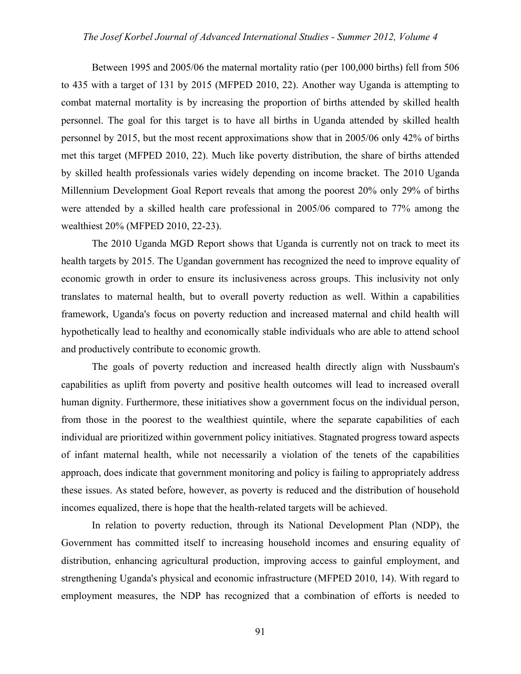Between 1995 and 2005/06 the maternal mortality ratio (per 100,000 births) fell from 506 to 435 with a target of 131 by 2015 (MFPED 2010, 22). Another way Uganda is attempting to combat maternal mortality is by increasing the proportion of births attended by skilled health personnel. The goal for this target is to have all births in Uganda attended by skilled health personnel by 2015, but the most recent approximations show that in 2005/06 only 42% of births met this target (MFPED 2010, 22). Much like poverty distribution, the share of births attended by skilled health professionals varies widely depending on income bracket. The 2010 Uganda Millennium Development Goal Report reveals that among the poorest 20% only 29% of births were attended by a skilled health care professional in 2005/06 compared to 77% among the wealthiest 20% (MFPED 2010, 22-23).

The 2010 Uganda MGD Report shows that Uganda is currently not on track to meet its health targets by 2015. The Ugandan government has recognized the need to improve equality of economic growth in order to ensure its inclusiveness across groups. This inclusivity not only translates to maternal health, but to overall poverty reduction as well. Within a capabilities framework, Uganda's focus on poverty reduction and increased maternal and child health will hypothetically lead to healthy and economically stable individuals who are able to attend school and productively contribute to economic growth.

The goals of poverty reduction and increased health directly align with Nussbaum's capabilities as uplift from poverty and positive health outcomes will lead to increased overall human dignity. Furthermore, these initiatives show a government focus on the individual person, from those in the poorest to the wealthiest quintile, where the separate capabilities of each individual are prioritized within government policy initiatives. Stagnated progress toward aspects of infant maternal health, while not necessarily a violation of the tenets of the capabilities approach, does indicate that government monitoring and policy is failing to appropriately address these issues. As stated before, however, as poverty is reduced and the distribution of household incomes equalized, there is hope that the health-related targets will be achieved.

In relation to poverty reduction, through its National Development Plan (NDP), the Government has committed itself to increasing household incomes and ensuring equality of distribution, enhancing agricultural production, improving access to gainful employment, and strengthening Uganda's physical and economic infrastructure (MFPED 2010, 14). With regard to employment measures, the NDP has recognized that a combination of efforts is needed to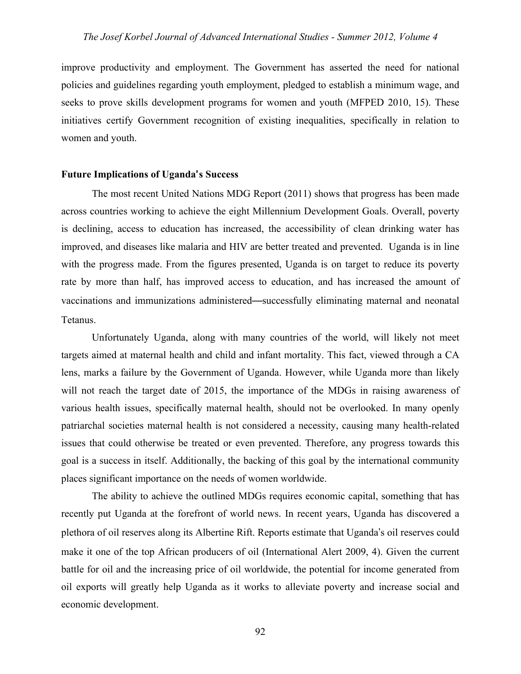improve productivity and employment. The Government has asserted the need for national policies and guidelines regarding youth employment, pledged to establish a minimum wage, and seeks to prove skills development programs for women and youth (MFPED 2010, 15). These initiatives certify Government recognition of existing inequalities, specifically in relation to women and youth.

## **Future Implications of Uganda**'**s Success**

The most recent United Nations MDG Report (2011) shows that progress has been made across countries working to achieve the eight Millennium Development Goals. Overall, poverty is declining, access to education has increased, the accessibility of clean drinking water has improved, and diseases like malaria and HIV are better treated and prevented. Uganda is in line with the progress made. From the figures presented, Uganda is on target to reduce its poverty rate by more than half, has improved access to education, and has increased the amount of vaccinations and immunizations administered—successfully eliminating maternal and neonatal Tetanus.

Unfortunately Uganda, along with many countries of the world, will likely not meet targets aimed at maternal health and child and infant mortality. This fact, viewed through a CA lens, marks a failure by the Government of Uganda. However, while Uganda more than likely will not reach the target date of 2015, the importance of the MDGs in raising awareness of various health issues, specifically maternal health, should not be overlooked. In many openly patriarchal societies maternal health is not considered a necessity, causing many health-related issues that could otherwise be treated or even prevented. Therefore, any progress towards this goal is a success in itself. Additionally, the backing of this goal by the international community places significant importance on the needs of women worldwide.

The ability to achieve the outlined MDGs requires economic capital, something that has recently put Uganda at the forefront of world news. In recent years, Uganda has discovered a plethora of oil reserves along its Albertine Rift. Reports estimate that Uganda's oil reserves could make it one of the top African producers of oil (International Alert 2009, 4). Given the current battle for oil and the increasing price of oil worldwide, the potential for income generated from oil exports will greatly help Uganda as it works to alleviate poverty and increase social and economic development.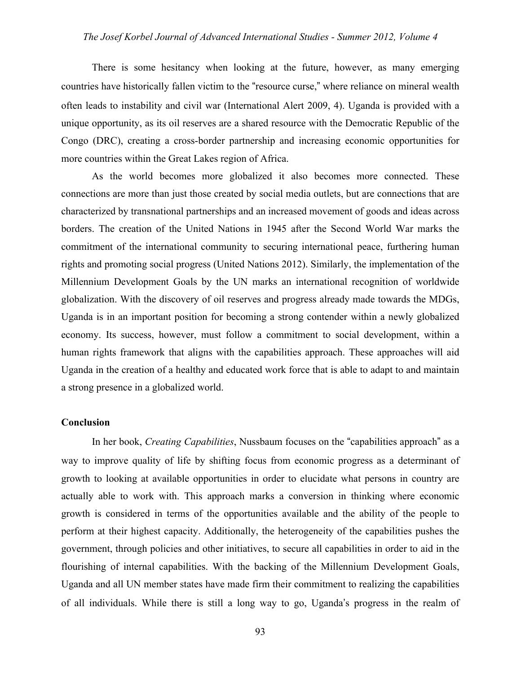There is some hesitancy when looking at the future, however, as many emerging countries have historically fallen victim to the "resource curse," where reliance on mineral wealth often leads to instability and civil war (International Alert 2009, 4). Uganda is provided with a unique opportunity, as its oil reserves are a shared resource with the Democratic Republic of the Congo (DRC), creating a cross-border partnership and increasing economic opportunities for more countries within the Great Lakes region of Africa.

As the world becomes more globalized it also becomes more connected. These connections are more than just those created by social media outlets, but are connections that are characterized by transnational partnerships and an increased movement of goods and ideas across borders. The creation of the United Nations in 1945 after the Second World War marks the commitment of the international community to securing international peace, furthering human rights and promoting social progress (United Nations 2012). Similarly, the implementation of the Millennium Development Goals by the UN marks an international recognition of worldwide globalization. With the discovery of oil reserves and progress already made towards the MDGs, Uganda is in an important position for becoming a strong contender within a newly globalized economy. Its success, however, must follow a commitment to social development, within a human rights framework that aligns with the capabilities approach. These approaches will aid Uganda in the creation of a healthy and educated work force that is able to adapt to and maintain a strong presence in a globalized world.

#### **Conclusion**

In her book, *Creating Capabilities*, Nussbaum focuses on the "capabilities approach" as a way to improve quality of life by shifting focus from economic progress as a determinant of growth to looking at available opportunities in order to elucidate what persons in country are actually able to work with. This approach marks a conversion in thinking where economic growth is considered in terms of the opportunities available and the ability of the people to perform at their highest capacity. Additionally, the heterogeneity of the capabilities pushes the government, through policies and other initiatives, to secure all capabilities in order to aid in the flourishing of internal capabilities. With the backing of the Millennium Development Goals, Uganda and all UN member states have made firm their commitment to realizing the capabilities of all individuals. While there is still a long way to go, Uganda's progress in the realm of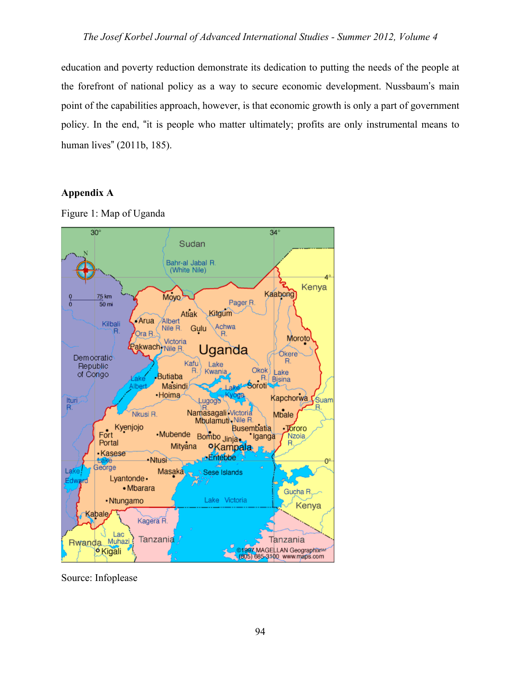education and poverty reduction demonstrate its dedication to putting the needs of the people at the forefront of national policy as a way to secure economic development. Nussbaum's main point of the capabilities approach, however, is that economic growth is only a part of government policy. In the end, "it is people who matter ultimately; profits are only instrumental means to human lives" (2011b, 185).

## **Appendix A**

Figure 1: Map of Uganda



Source: Infoplease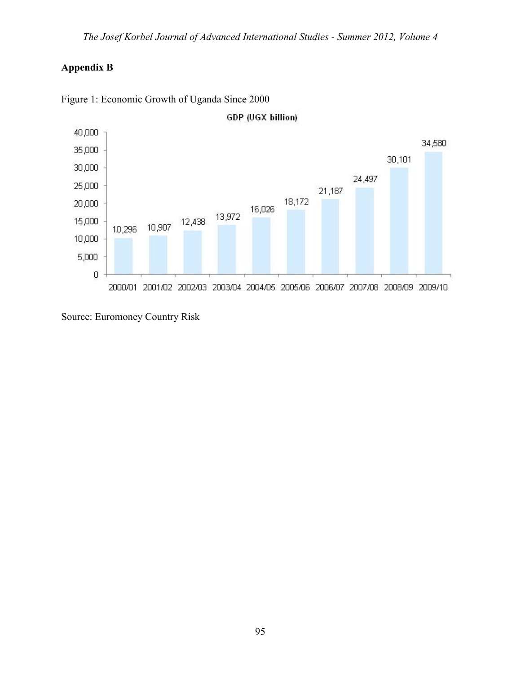# **Appendix B**



Figure 1: Economic Growth of Uganda Since 2000

Source: Euromoney Country Risk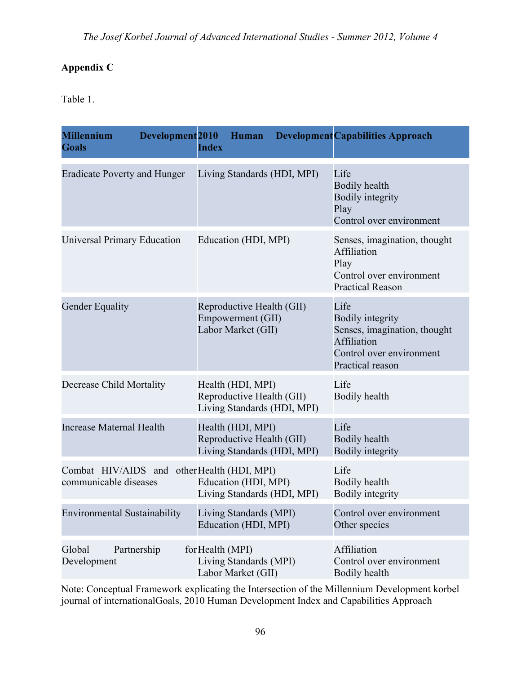## **Appendix C**

Table 1.

| Development <sub>2010</sub><br><b>Millennium</b><br><b>Goals</b>     | Human<br><b>Index</b>                                                         | <b>Development Capabilities Approach</b>                                                                                       |
|----------------------------------------------------------------------|-------------------------------------------------------------------------------|--------------------------------------------------------------------------------------------------------------------------------|
| <b>Eradicate Poverty and Hunger</b>                                  | Living Standards (HDI, MPI)                                                   | Life<br><b>Bodily health</b><br><b>Bodily integrity</b><br>Play<br>Control over environment                                    |
| <b>Universal Primary Education</b>                                   | Education (HDI, MPI)                                                          | Senses, imagination, thought<br>Affiliation<br>Play<br>Control over environment<br><b>Practical Reason</b>                     |
| <b>Gender Equality</b>                                               | Reproductive Health (GII)<br>Empowerment (GII)<br>Labor Market (GII)          | Life<br><b>Bodily integrity</b><br>Senses, imagination, thought<br>Affiliation<br>Control over environment<br>Practical reason |
| Decrease Child Mortality                                             | Health (HDI, MPI)<br>Reproductive Health (GII)<br>Living Standards (HDI, MPI) | Life<br>Bodily health                                                                                                          |
| <b>Increase Maternal Health</b>                                      | Health (HDI, MPI)<br>Reproductive Health (GII)<br>Living Standards (HDI, MPI) | Life<br><b>Bodily health</b><br><b>Bodily integrity</b>                                                                        |
| Combat HIV/AIDS and other Health (HDI, MPI)<br>communicable diseases | Education (HDI, MPI)<br>Living Standards (HDI, MPI)                           | Life<br>Bodily health<br><b>Bodily integrity</b>                                                                               |
| <b>Environmental Sustainability</b>                                  | Living Standards (MPI)<br>Education (HDI, MPI)                                | Control over environment<br>Other species                                                                                      |
| Global<br>Partnership<br>Development                                 | for Health (MPI)<br>Living Standards (MPI)<br>Labor Market (GII)              | Affiliation<br>Control over environment<br>Bodily health                                                                       |

Note: Conceptual Framework explicating the Intersection of the Millennium Development korbel journal of internationalGoals, 2010 Human Development Index and Capabilities Approach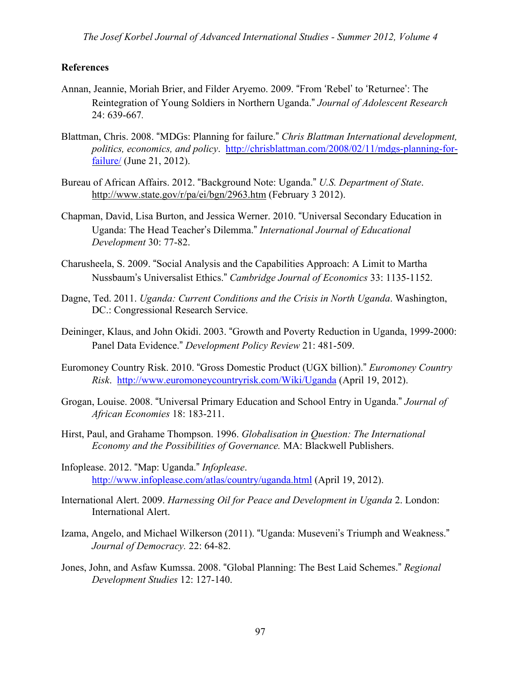## **References**

- Annan, Jeannie, Moriah Brier, and Filder Aryemo. 2009. "From 'Rebel' to 'Returnee': The Reintegration of Young Soldiers in Northern Uganda." *Journal of Adolescent Research*  24: 639-667*.*
- Blattman, Chris. 2008. "MDGs: Planning for failure." *Chris Blattman International development, politics, economics, and policy*. http://chrisblattman.com/2008/02/11/mdgs-planning-forfailure/ (June 21, 2012).
- Bureau of African Affairs. 2012. "Background Note: Uganda." *U.S. Department of State*. http://www.state.gov/r/pa/ei/bgn/2963.htm (February 3 2012).
- Chapman, David, Lisa Burton, and Jessica Werner. 2010. "Universal Secondary Education in Uganda: The Head Teacher's Dilemma." *International Journal of Educational Development* 30: 77-82.
- Charusheela, S. 2009. "Social Analysis and the Capabilities Approach: A Limit to Martha Nussbaum's Universalist Ethics." *Cambridge Journal of Economics* 33: 1135-1152.
- Dagne, Ted. 2011. *Uganda: Current Conditions and the Crisis in North Uganda*. Washington, DC.: Congressional Research Service.
- Deininger, Klaus, and John Okidi. 2003. "Growth and Poverty Reduction in Uganda, 1999-2000: Panel Data Evidence." *Development Policy Review* 21: 481-509.
- Euromoney Country Risk. 2010. "Gross Domestic Product (UGX billion)." *Euromoney Country Risk*. http://www.euromoneycountryrisk.com/Wiki/Uganda (April 19, 2012).
- Grogan, Louise. 2008. "Universal Primary Education and School Entry in Uganda." *Journal of African Economies* 18: 183-211.
- Hirst, Paul, and Grahame Thompson. 1996. *Globalisation in Question: The International Economy and the Possibilities of Governance.* MA: Blackwell Publishers.
- Infoplease. 2012. "Map: Uganda." *Infoplease*. http://www.infoplease.com/atlas/country/uganda.html (April 19, 2012).
- International Alert. 2009. *Harnessing Oil for Peace and Development in Uganda* 2. London: International Alert.
- Izama, Angelo, and Michael Wilkerson (2011). "Uganda: Museveni's Triumph and Weakness." *Journal of Democracy.* 22: 64-82.
- Jones, John, and Asfaw Kumssa. 2008. "Global Planning: The Best Laid Schemes." *Regional Development Studies* 12: 127-140.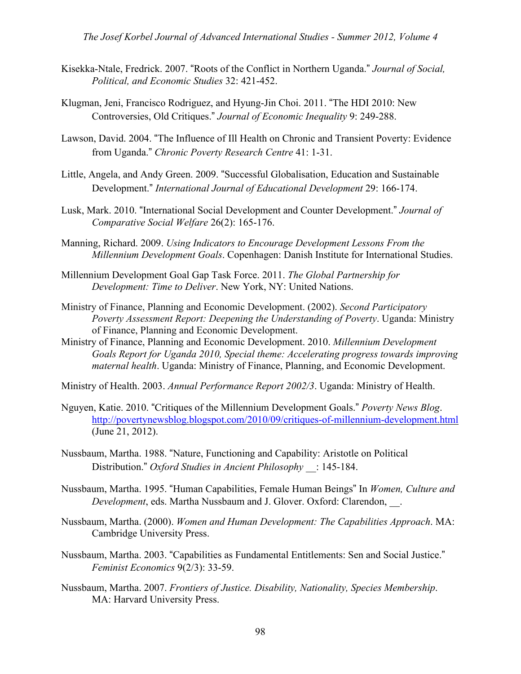- Kisekka-Ntale, Fredrick. 2007. "Roots of the Conflict in Northern Uganda." *Journal of Social, Political, and Economic Studies* 32: 421-452.
- Klugman, Jeni, Francisco Rodriguez, and Hyung-Jin Choi. 2011. "The HDI 2010: New Controversies, Old Critiques." *Journal of Economic Inequality* 9: 249-288.
- Lawson, David. 2004. "The Influence of Ill Health on Chronic and Transient Poverty: Evidence from Uganda." *Chronic Poverty Research Centre* 41: 1-31.
- Little, Angela, and Andy Green. 2009. "Successful Globalisation, Education and Sustainable Development." *International Journal of Educational Development* 29: 166-174.
- Lusk, Mark. 2010. "International Social Development and Counter Development." *Journal of Comparative Social Welfare* 26(2): 165-176.
- Manning, Richard. 2009. *Using Indicators to Encourage Development Lessons From the Millennium Development Goals*. Copenhagen: Danish Institute for International Studies.
- Millennium Development Goal Gap Task Force. 2011. *The Global Partnership for Development: Time to Deliver*. New York, NY: United Nations.
- Ministry of Finance, Planning and Economic Development. (2002). *Second Participatory Poverty Assessment Report: Deepening the Understanding of Poverty*. Uganda: Ministry of Finance, Planning and Economic Development.
- Ministry of Finance, Planning and Economic Development. 2010. *Millennium Development Goals Report for Uganda 2010, Special theme: Accelerating progress towards improving maternal health*. Uganda: Ministry of Finance, Planning, and Economic Development.
- Ministry of Health. 2003. *Annual Performance Report 2002/3*. Uganda: Ministry of Health.
- Nguyen, Katie. 2010. "Critiques of the Millennium Development Goals." *Poverty News Blog*. http://povertynewsblog.blogspot.com/2010/09/critiques-of-millennium-development.html (June 21, 2012).
- Nussbaum, Martha. 1988. "Nature, Functioning and Capability: Aristotle on Political Distribution." *Oxford Studies in Ancient Philosophy* \_\_: 145-184.
- Nussbaum, Martha. 1995. "Human Capabilities, Female Human Beings" In *Women, Culture and Development*, eds. Martha Nussbaum and J. Glover. Oxford: Clarendon, \_\_.
- Nussbaum, Martha. (2000). *Women and Human Development: The Capabilities Approach*. MA: Cambridge University Press.
- Nussbaum, Martha. 2003. "Capabilities as Fundamental Entitlements: Sen and Social Justice." *Feminist Economics* 9(2/3): 33-59.
- Nussbaum, Martha. 2007. *Frontiers of Justice. Disability, Nationality, Species Membership*. MA: Harvard University Press.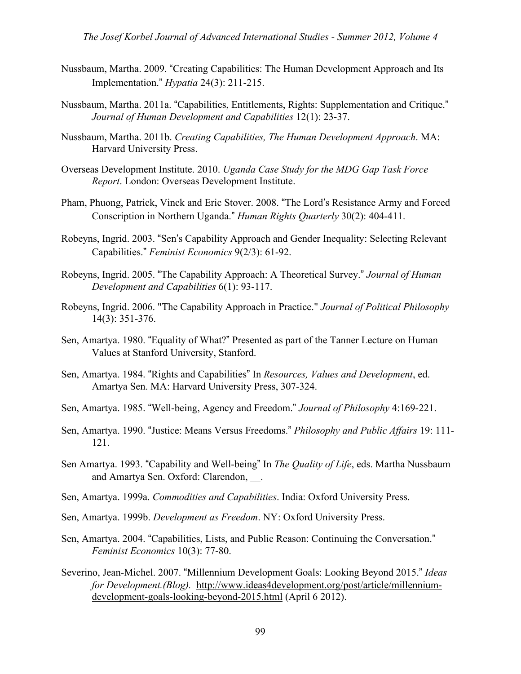- Nussbaum, Martha. 2009. "Creating Capabilities: The Human Development Approach and Its Implementation." *Hypatia* 24(3): 211-215.
- Nussbaum, Martha. 2011a. "Capabilities, Entitlements, Rights: Supplementation and Critique." *Journal of Human Development and Capabilities* 12(1): 23-37.
- Nussbaum, Martha. 2011b. *Creating Capabilities, The Human Development Approach*. MA: Harvard University Press.
- Overseas Development Institute. 2010. *Uganda Case Study for the MDG Gap Task Force Report*. London: Overseas Development Institute.
- Pham, Phuong, Patrick, Vinck and Eric Stover. 2008. "The Lord's Resistance Army and Forced Conscription in Northern Uganda." *Human Rights Quarterly* 30(2): 404-411.
- Robeyns, Ingrid. 2003. "Sen's Capability Approach and Gender Inequality: Selecting Relevant Capabilities." *Feminist Economics* 9(2/3): 61-92.
- Robeyns, Ingrid. 2005. "The Capability Approach: A Theoretical Survey." *Journal of Human Development and Capabilities* 6(1): 93-117.
- Robeyns, Ingrid. 2006. "The Capability Approach in Practice." *Journal of Political Philosophy*  14(3): 351-376.
- Sen, Amartya. 1980. "Equality of What?" Presented as part of the Tanner Lecture on Human Values at Stanford University, Stanford.
- Sen, Amartya. 1984. "Rights and Capabilities" In *Resources, Values and Development*, ed. Amartya Sen. MA: Harvard University Press, 307-324.
- Sen, Amartya. 1985. "Well-being, Agency and Freedom." *Journal of Philosophy* 4:169-221.
- Sen, Amartya. 1990. "Justice: Means Versus Freedoms." *Philosophy and Public Affairs* 19: 111- 121.
- Sen Amartya. 1993. "Capability and Well-being" In *The Quality of Life*, eds. Martha Nussbaum and Amartya Sen. Oxford: Clarendon, ...
- Sen, Amartya. 1999a. *Commodities and Capabilities*. India: Oxford University Press.
- Sen, Amartya. 1999b. *Development as Freedom*. NY: Oxford University Press.
- Sen, Amartya. 2004. "Capabilities, Lists, and Public Reason: Continuing the Conversation." *Feminist Economics* 10(3): 77-80.
- Severino, Jean-Michel. 2007. "Millennium Development Goals: Looking Beyond 2015." *Ideas for Development.(Blog).* http://www.ideas4development.org/post/article/millenniumdevelopment-goals-looking-beyond-2015.html (April 6 2012).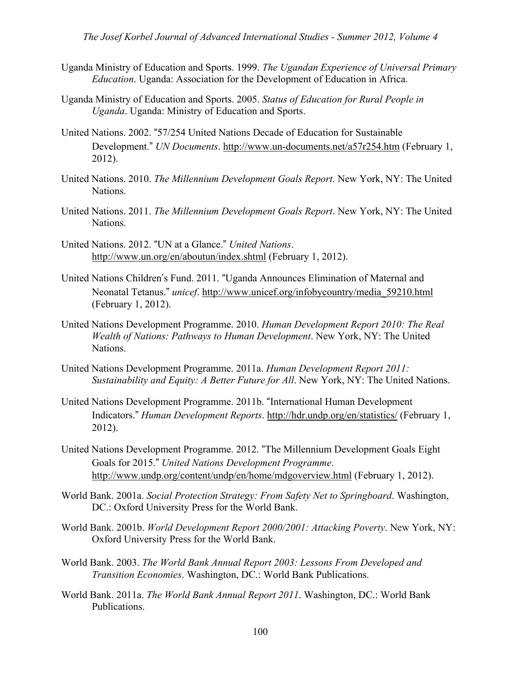- Uganda Ministry of Education and Sports. 1999. *The Ugandan Experience of Universal Primary Education*. Uganda: Association for the Development of Education in Africa.
- Uganda Ministry of Education and Sports. 2005. *Status of Education for Rural People in Uganda*. Uganda: Ministry of Education and Sports.
- United Nations. 2002. "57/254 United Nations Decade of Education for Sustainable Development." *UN Documents*. http://www.un-documents.net/a57r254.htm (February 1, 2012).
- United Nations. 2010. *The Millennium Development Goals Report*. New York, NY: The United Nations.
- United Nations. 2011. *The Millennium Development Goals Report*. New York, NY: The United Nations.
- United Nations. 2012. "UN at a Glance." *United Nations*. http://www.un.org/en/aboutun/index.shtml (February 1, 2012).
- United Nations Children's Fund. 2011. "Uganda Announces Elimination of Maternal and Neonatal Tetanus." *unicef*. http://www.unicef.org/infobycountry/media\_59210.html (February 1, 2012).
- United Nations Development Programme. 2010. *Human Development Report 2010: The Real Wealth of Nations: Pathways to Human Development*. New York, NY: The United Nations.
- United Nations Development Programme. 2011a. *Human Development Report 2011: Sustainability and Equity: A Better Future for All*. New York, NY: The United Nations.
- United Nations Development Programme. 2011b. "International Human Development Indicators." *Human Development Reports*. http://hdr.undp.org/en/statistics/ (February 1, 2012).
- United Nations Development Programme. 2012. "The Millennium Development Goals Eight Goals for 2015." *United Nations Development Programme*. http://www.undp.org/content/undp/en/home/mdgoverview.html (February 1, 2012).
- World Bank. 2001a. *Social Protection Strategy: From Safety Net to Springboard*. Washington, DC.: Oxford University Press for the World Bank.
- World Bank. 2001b. *World Development Report 2000/2001: Attacking Poverty*. New York, NY: Oxford University Press for the World Bank.
- World Bank. 2003. *The World Bank Annual Report 2003: Lessons From Developed and Transition Economies*. Washington, DC.: World Bank Publications.
- World Bank. 2011a. *The World Bank Annual Report 2011*. Washington, DC.: World Bank Publications.